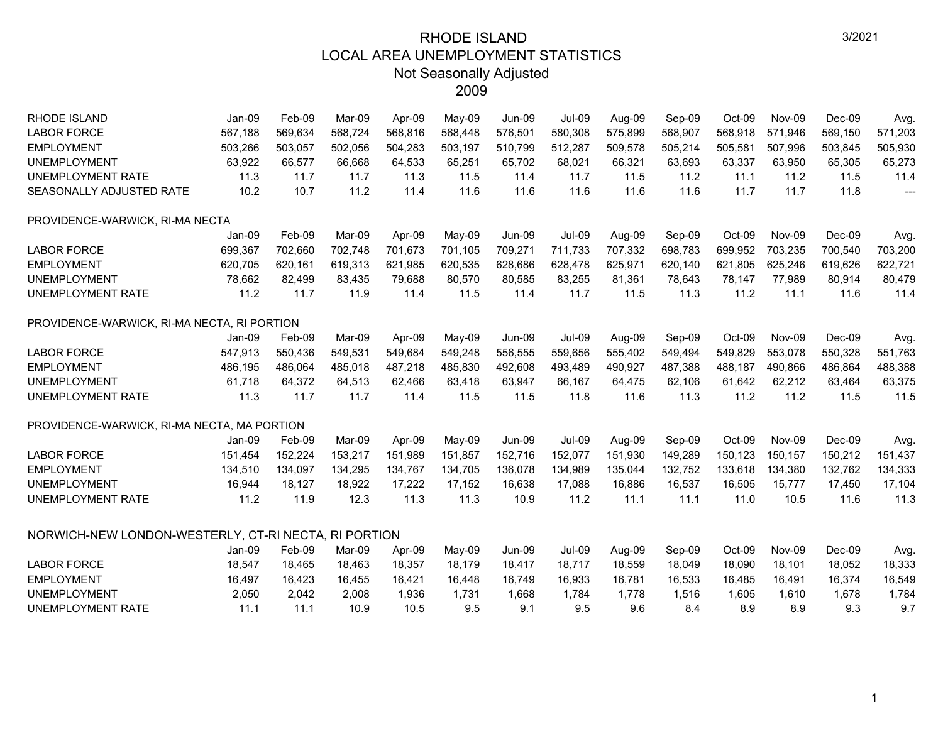| <b>RHODE ISLAND</b>                                  | Jan-09  | Feb-09  | Mar-09  | Apr-09  | May-09  | <b>Jun-09</b> | <b>Jul-09</b> | Aug-09  | Sep-09  | Oct-09  | <b>Nov-09</b> | $Dec-09$ | Avg.    |
|------------------------------------------------------|---------|---------|---------|---------|---------|---------------|---------------|---------|---------|---------|---------------|----------|---------|
| <b>LABOR FORCE</b>                                   | 567,188 | 569,634 | 568,724 | 568,816 | 568,448 | 576,501       | 580,308       | 575,899 | 568,907 | 568,918 | 571,946       | 569,150  | 571,203 |
| <b>EMPLOYMENT</b>                                    | 503,266 | 503,057 | 502,056 | 504,283 | 503,197 | 510,799       | 512,287       | 509,578 | 505,214 | 505,581 | 507,996       | 503,845  | 505,930 |
| <b>UNEMPLOYMENT</b>                                  | 63,922  | 66,577  | 66,668  | 64,533  | 65,251  | 65,702        | 68,021        | 66,321  | 63,693  | 63,337  | 63,950        | 65,305   | 65,273  |
| UNEMPLOYMENT RATE                                    | 11.3    | 11.7    | 11.7    | 11.3    | 11.5    | 11.4          | 11.7          | 11.5    | 11.2    | 11.1    | 11.2          | 11.5     | 11.4    |
| SEASONALLY ADJUSTED RATE                             | 10.2    | 10.7    | 11.2    | 11.4    | 11.6    | 11.6          | 11.6          | 11.6    | 11.6    | 11.7    | 11.7          | 11.8     | ---     |
| PROVIDENCE-WARWICK, RI-MA NECTA                      |         |         |         |         |         |               |               |         |         |         |               |          |         |
|                                                      | Jan-09  | Feb-09  | Mar-09  | Apr-09  | May-09  | <b>Jun-09</b> | <b>Jul-09</b> | Aug-09  | Sep-09  | Oct-09  | Nov-09        | Dec-09   | Avg.    |
| <b>LABOR FORCE</b>                                   | 699,367 | 702,660 | 702,748 | 701,673 | 701,105 | 709,271       | 711,733       | 707,332 | 698,783 | 699,952 | 703,235       | 700,540  | 703,200 |
| <b>EMPLOYMENT</b>                                    | 620,705 | 620,161 | 619,313 | 621,985 | 620,535 | 628,686       | 628,478       | 625,971 | 620,140 | 621,805 | 625,246       | 619,626  | 622,721 |
| <b>UNEMPLOYMENT</b>                                  | 78,662  | 82,499  | 83,435  | 79,688  | 80,570  | 80,585        | 83,255        | 81,361  | 78,643  | 78,147  | 77,989        | 80,914   | 80,479  |
| <b>UNEMPLOYMENT RATE</b>                             | 11.2    | 11.7    | 11.9    | 11.4    | 11.5    | 11.4          | 11.7          | 11.5    | 11.3    | 11.2    | 11.1          | 11.6     | 11.4    |
| PROVIDENCE-WARWICK, RI-MA NECTA, RI PORTION          |         |         |         |         |         |               |               |         |         |         |               |          |         |
|                                                      | Jan-09  | Feb-09  | Mar-09  | Apr-09  | May-09  | <b>Jun-09</b> | <b>Jul-09</b> | Aug-09  | Sep-09  | Oct-09  | Nov-09        | $Dec-09$ | Avg.    |
| <b>LABOR FORCE</b>                                   | 547,913 | 550,436 | 549,531 | 549,684 | 549,248 | 556,555       | 559,656       | 555,402 | 549,494 | 549,829 | 553,078       | 550,328  | 551,763 |
| <b>EMPLOYMENT</b>                                    | 486,195 | 486,064 | 485,018 | 487,218 | 485,830 | 492,608       | 493,489       | 490,927 | 487,388 | 488,187 | 490,866       | 486,864  | 488,388 |
| <b>UNEMPLOYMENT</b>                                  | 61,718  | 64,372  | 64,513  | 62,466  | 63,418  | 63,947        | 66,167        | 64,475  | 62,106  | 61,642  | 62,212        | 63,464   | 63,375  |
| <b>UNEMPLOYMENT RATE</b>                             | 11.3    | 11.7    | 11.7    | 11.4    | 11.5    | 11.5          | 11.8          | 11.6    | 11.3    | 11.2    | 11.2          | 11.5     | 11.5    |
| PROVIDENCE-WARWICK, RI-MA NECTA, MA PORTION          |         |         |         |         |         |               |               |         |         |         |               |          |         |
|                                                      | Jan-09  | Feb-09  | Mar-09  | Apr-09  | May-09  | <b>Jun-09</b> | <b>Jul-09</b> | Aug-09  | Sep-09  | Oct-09  | Nov-09        | $Dec-09$ | Avg.    |
| <b>LABOR FORCE</b>                                   | 151,454 | 152,224 | 153,217 | 151,989 | 151,857 | 152,716       | 152,077       | 151,930 | 149,289 | 150,123 | 150.157       | 150,212  | 151,437 |
| <b>EMPLOYMENT</b>                                    | 134,510 | 134,097 | 134,295 | 134,767 | 134,705 | 136,078       | 134,989       | 135,044 | 132,752 | 133,618 | 134,380       | 132,762  | 134,333 |
| <b>UNEMPLOYMENT</b>                                  | 16,944  | 18,127  | 18,922  | 17,222  | 17,152  | 16,638        | 17,088        | 16,886  | 16,537  | 16,505  | 15,777        | 17,450   | 17,104  |
| <b>UNEMPLOYMENT RATE</b>                             | 11.2    | 11.9    | 12.3    | 11.3    | 11.3    | 10.9          | 11.2          | 11.1    | 11.1    | 11.0    | 10.5          | 11.6     | 11.3    |
| NORWICH-NEW LONDON-WESTERLY, CT-RI NECTA, RI PORTION |         |         |         |         |         |               |               |         |         |         |               |          |         |
|                                                      | Jan-09  | Feb-09  | Mar-09  | Apr-09  | May-09  | <b>Jun-09</b> | <b>Jul-09</b> | Aug-09  | Sep-09  | Oct-09  | Nov-09        | Dec-09   | Avg.    |
| <b>LABOR FORCE</b>                                   | 18,547  | 18,465  | 18,463  | 18,357  | 18,179  | 18,417        | 18,717        | 18,559  | 18,049  | 18,090  | 18,101        | 18,052   | 18,333  |
| <b>EMPLOYMENT</b>                                    | 16,497  | 16,423  | 16,455  | 16,421  | 16,448  | 16,749        | 16,933        | 16,781  | 16,533  | 16,485  | 16,491        | 16,374   | 16,549  |
| <b>UNEMPLOYMENT</b>                                  | 2,050   | 2,042   | 2,008   | 1,936   | 1,731   | 1,668         | 1,784         | 1,778   | 1,516   | 1,605   | 1,610         | 1,678    | 1,784   |
| <b>UNEMPLOYMENT RATE</b>                             | 11.1    | 11.1    | 10.9    | 10.5    | 9.5     | 9.1           | 9.5           | 9.6     | 8.4     | 8.9     | 8.9           | 9.3      | 9.7     |
|                                                      |         |         |         |         |         |               |               |         |         |         |               |          |         |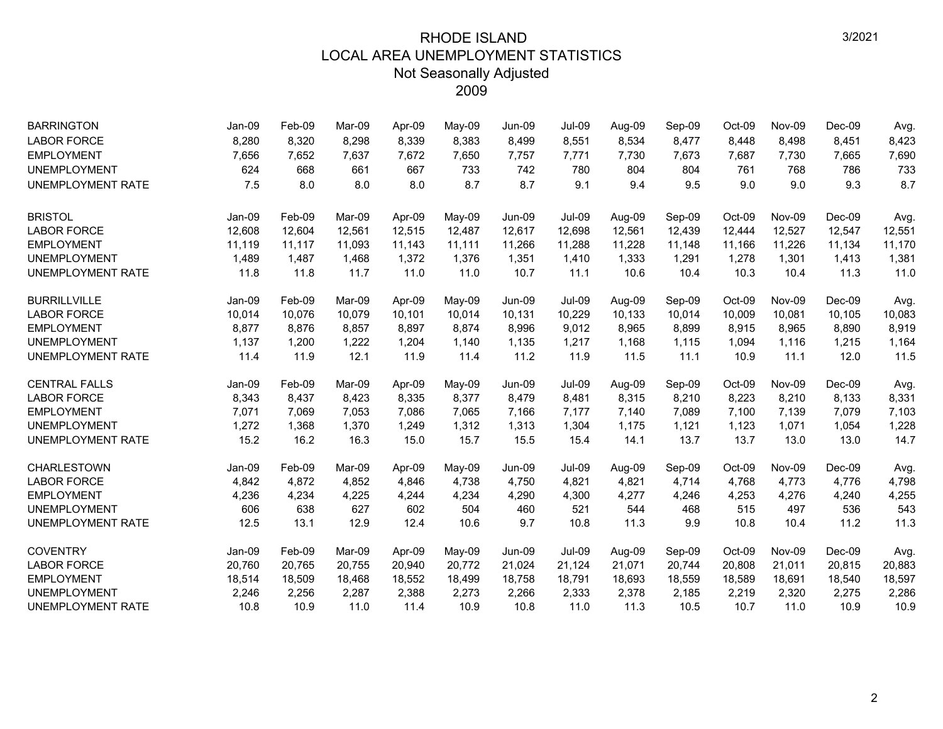| <b>BARRINGTON</b>        | Jan-09 | Feb-09 | Mar-09 | Apr-09 | May-09 | Jun-09        | <b>Jul-09</b> | Aug-09 | Sep-09 | Oct-09 | <b>Nov-09</b> | $Dec-09$ | Avg.   |
|--------------------------|--------|--------|--------|--------|--------|---------------|---------------|--------|--------|--------|---------------|----------|--------|
| <b>LABOR FORCE</b>       | 8,280  | 8,320  | 8,298  | 8,339  | 8,383  | 8,499         | 8,551         | 8,534  | 8,477  | 8,448  | 8,498         | 8,451    | 8,423  |
| <b>EMPLOYMENT</b>        | 7,656  | 7,652  | 7,637  | 7,672  | 7,650  | 7,757         | 7,771         | 7,730  | 7,673  | 7,687  | 7,730         | 7,665    | 7,690  |
| <b>UNEMPLOYMENT</b>      | 624    | 668    | 661    | 667    | 733    | 742           | 780           | 804    | 804    | 761    | 768           | 786      | 733    |
| <b>UNEMPLOYMENT RATE</b> | 7.5    | 8.0    | 8.0    | 8.0    | 8.7    | 8.7           | 9.1           | 9.4    | 9.5    | 9.0    | 9.0           | 9.3      | 8.7    |
| <b>BRISTOL</b>           | Jan-09 | Feb-09 | Mar-09 | Apr-09 | May-09 | Jun-09        | <b>Jul-09</b> | Aug-09 | Sep-09 | Oct-09 | Nov-09        | Dec-09   | Avg.   |
| <b>LABOR FORCE</b>       | 12,608 | 12,604 | 12,561 | 12,515 | 12,487 | 12,617        | 12,698        | 12,561 | 12,439 | 12,444 | 12,527        | 12,547   | 12,551 |
| <b>EMPLOYMENT</b>        | 11,119 | 11,117 | 11,093 | 11,143 | 11,111 | 11,266        | 11,288        | 11,228 | 11,148 | 11,166 | 11,226        | 11,134   | 11,170 |
| <b>UNEMPLOYMENT</b>      | 1,489  | 1,487  | 1,468  | 1,372  | 1,376  | 1,351         | 1,410         | 1,333  | 1,291  | 1,278  | 1,301         | 1,413    | 1,381  |
| <b>UNEMPLOYMENT RATE</b> | 11.8   | 11.8   | 11.7   | 11.0   | 11.0   | 10.7          | 11.1          | 10.6   | 10.4   | 10.3   | 10.4          | 11.3     | 11.0   |
| <b>BURRILLVILLE</b>      | Jan-09 | Feb-09 | Mar-09 | Apr-09 | May-09 | Jun-09        | <b>Jul-09</b> | Aug-09 | Sep-09 | Oct-09 | Nov-09        | $Dec-09$ | Avg.   |
| <b>LABOR FORCE</b>       | 10,014 | 10,076 | 10,079 | 10,101 | 10,014 | 10,131        | 10,229        | 10,133 | 10,014 | 10,009 | 10,081        | 10,105   | 10,083 |
| <b>EMPLOYMENT</b>        | 8,877  | 8,876  | 8,857  | 8,897  | 8,874  | 8,996         | 9,012         | 8,965  | 8,899  | 8,915  | 8,965         | 8,890    | 8,919  |
| <b>UNEMPLOYMENT</b>      | 1,137  | 1,200  | 1,222  | 1,204  | 1,140  | 1,135         | 1,217         | 1,168  | 1,115  | 1,094  | 1,116         | 1,215    | 1,164  |
| <b>UNEMPLOYMENT RATE</b> | 11.4   | 11.9   | 12.1   | 11.9   | 11.4   | 11.2          | 11.9          | 11.5   | 11.1   | 10.9   | 11.1          | 12.0     | 11.5   |
| <b>CENTRAL FALLS</b>     | Jan-09 | Feb-09 | Mar-09 | Apr-09 | May-09 | Jun-09        | <b>Jul-09</b> | Aug-09 | Sep-09 | Oct-09 | Nov-09        | Dec-09   | Avg.   |
| <b>LABOR FORCE</b>       | 8,343  | 8,437  | 8,423  | 8,335  | 8,377  | 8,479         | 8,481         | 8,315  | 8,210  | 8,223  | 8,210         | 8,133    | 8,331  |
| <b>EMPLOYMENT</b>        | 7,071  | 7,069  | 7,053  | 7,086  | 7,065  | 7,166         | 7,177         | 7,140  | 7,089  | 7,100  | 7,139         | 7,079    | 7,103  |
| <b>UNEMPLOYMENT</b>      | 1,272  | 1,368  | 1,370  | 1,249  | 1,312  | 1,313         | 1,304         | 1,175  | 1,121  | 1,123  | 1,071         | 1,054    | 1,228  |
| <b>UNEMPLOYMENT RATE</b> | 15.2   | 16.2   | 16.3   | 15.0   | 15.7   | 15.5          | 15.4          | 14.1   | 13.7   | 13.7   | 13.0          | 13.0     | 14.7   |
| <b>CHARLESTOWN</b>       | Jan-09 | Feb-09 | Mar-09 | Apr-09 | May-09 | <b>Jun-09</b> | <b>Jul-09</b> | Aug-09 | Sep-09 | Oct-09 | Nov-09        | $Dec-09$ | Avg.   |
| <b>LABOR FORCE</b>       | 4,842  | 4,872  | 4,852  | 4,846  | 4,738  | 4,750         | 4,821         | 4,821  | 4,714  | 4,768  | 4,773         | 4,776    | 4,798  |
| <b>EMPLOYMENT</b>        | 4,236  | 4,234  | 4,225  | 4,244  | 4,234  | 4,290         | 4,300         | 4,277  | 4,246  | 4,253  | 4,276         | 4,240    | 4,255  |
| <b>UNEMPLOYMENT</b>      | 606    | 638    | 627    | 602    | 504    | 460           | 521           | 544    | 468    | 515    | 497           | 536      | 543    |
| <b>UNEMPLOYMENT RATE</b> | 12.5   | 13.1   | 12.9   | 12.4   | 10.6   | 9.7           | 10.8          | 11.3   | 9.9    | 10.8   | 10.4          | 11.2     | 11.3   |
| <b>COVENTRY</b>          | Jan-09 | Feb-09 | Mar-09 | Apr-09 | May-09 | Jun-09        | <b>Jul-09</b> | Aug-09 | Sep-09 | Oct-09 | Nov-09        | $Dec-09$ | Avg.   |
| <b>LABOR FORCE</b>       | 20,760 | 20,765 | 20,755 | 20,940 | 20,772 | 21,024        | 21,124        | 21,071 | 20,744 | 20,808 | 21,011        | 20,815   | 20,883 |
| <b>EMPLOYMENT</b>        | 18,514 | 18,509 | 18,468 | 18,552 | 18,499 | 18,758        | 18,791        | 18,693 | 18,559 | 18,589 | 18,691        | 18,540   | 18,597 |
| <b>UNEMPLOYMENT</b>      | 2,246  | 2,256  | 2,287  | 2,388  | 2,273  | 2,266         | 2,333         | 2,378  | 2,185  | 2,219  | 2,320         | 2,275    | 2,286  |
| <b>UNEMPLOYMENT RATE</b> | 10.8   | 10.9   | 11.0   | 11.4   | 10.9   | 10.8          | 11.0          | 11.3   | 10.5   | 10.7   | 11.0          | 10.9     | 10.9   |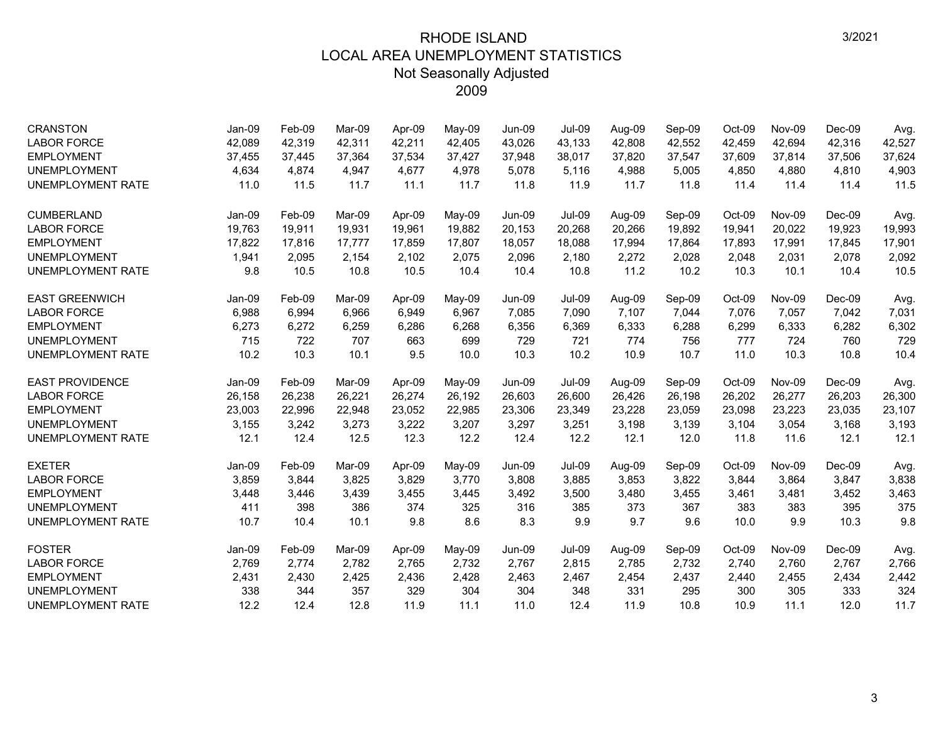| <b>CRANSTON</b>          | Jan-09 | Feb-09 | Mar-09 | Apr-09 | May-09 | <b>Jun-09</b> | <b>Jul-09</b> | Aug-09 | Sep-09 | Oct-09 | <b>Nov-09</b> | $Dec-09$ | Avg.   |
|--------------------------|--------|--------|--------|--------|--------|---------------|---------------|--------|--------|--------|---------------|----------|--------|
| <b>LABOR FORCE</b>       | 42,089 | 42,319 | 42,311 | 42,211 | 42,405 | 43,026        | 43,133        | 42,808 | 42,552 | 42,459 | 42,694        | 42,316   | 42,527 |
| <b>EMPLOYMENT</b>        | 37,455 | 37,445 | 37,364 | 37,534 | 37,427 | 37,948        | 38,017        | 37,820 | 37,547 | 37,609 | 37,814        | 37,506   | 37,624 |
| <b>UNEMPLOYMENT</b>      | 4,634  | 4.874  | 4,947  | 4,677  | 4,978  | 5,078         | 5.116         | 4,988  | 5,005  | 4,850  | 4,880         | 4,810    | 4,903  |
| <b>UNEMPLOYMENT RATE</b> | 11.0   | 11.5   | 11.7   | 11.1   | 11.7   | 11.8          | 11.9          | 11.7   | 11.8   | 11.4   | 11.4          | 11.4     | 11.5   |
| <b>CUMBERLAND</b>        | Jan-09 | Feb-09 | Mar-09 | Apr-09 | May-09 | <b>Jun-09</b> | <b>Jul-09</b> | Aug-09 | Sep-09 | Oct-09 | Nov-09        | $Dec-09$ | Avg.   |
| <b>LABOR FORCE</b>       | 19,763 | 19,911 | 19,931 | 19,961 | 19,882 | 20,153        | 20,268        | 20,266 | 19,892 | 19,941 | 20,022        | 19,923   | 19,993 |
| <b>EMPLOYMENT</b>        | 17,822 | 17,816 | 17,777 | 17,859 | 17,807 | 18,057        | 18,088        | 17,994 | 17,864 | 17,893 | 17,991        | 17,845   | 17,901 |
| <b>UNEMPLOYMENT</b>      | 1,941  | 2,095  | 2,154  | 2,102  | 2,075  | 2,096         | 2,180         | 2,272  | 2,028  | 2,048  | 2,031         | 2,078    | 2,092  |
| UNEMPLOYMENT RATE        | 9.8    | 10.5   | 10.8   | 10.5   | 10.4   | 10.4          | 10.8          | 11.2   | 10.2   | 10.3   | 10.1          | 10.4     | 10.5   |
| <b>EAST GREENWICH</b>    | Jan-09 | Feb-09 | Mar-09 | Apr-09 | May-09 | <b>Jun-09</b> | <b>Jul-09</b> | Aug-09 | Sep-09 | Oct-09 | Nov-09        | $Dec-09$ | Avg.   |
| <b>LABOR FORCE</b>       | 6,988  | 6,994  | 6.966  | 6,949  | 6,967  | 7,085         | 7,090         | 7,107  | 7,044  | 7,076  | 7,057         | 7,042    | 7,031  |
| <b>EMPLOYMENT</b>        | 6,273  | 6,272  | 6,259  | 6,286  | 6,268  | 6,356         | 6,369         | 6,333  | 6,288  | 6,299  | 6,333         | 6,282    | 6,302  |
| <b>UNEMPLOYMENT</b>      | 715    | 722    | 707    | 663    | 699    | 729           | 721           | 774    | 756    | 777    | 724           | 760      | 729    |
| UNEMPLOYMENT RATE        | 10.2   | 10.3   | 10.1   | 9.5    | 10.0   | 10.3          | 10.2          | 10.9   | 10.7   | 11.0   | 10.3          | 10.8     | 10.4   |
| <b>EAST PROVIDENCE</b>   | Jan-09 | Feb-09 | Mar-09 | Apr-09 | May-09 | Jun-09        | <b>Jul-09</b> | Aug-09 | Sep-09 | Oct-09 | Nov-09        | $Dec-09$ | Avg.   |
| <b>LABOR FORCE</b>       | 26,158 | 26,238 | 26,221 | 26,274 | 26,192 | 26,603        | 26,600        | 26,426 | 26,198 | 26,202 | 26,277        | 26,203   | 26,300 |
| <b>EMPLOYMENT</b>        | 23,003 | 22,996 | 22,948 | 23,052 | 22,985 | 23,306        | 23,349        | 23,228 | 23,059 | 23,098 | 23,223        | 23,035   | 23,107 |
| <b>UNEMPLOYMENT</b>      | 3,155  | 3,242  | 3,273  | 3,222  | 3,207  | 3,297         | 3,251         | 3,198  | 3,139  | 3,104  | 3,054         | 3,168    | 3,193  |
| UNEMPLOYMENT RATE        | 12.1   | 12.4   | 12.5   | 12.3   | 12.2   | 12.4          | 12.2          | 12.1   | 12.0   | 11.8   | 11.6          | 12.1     | 12.1   |
| <b>EXETER</b>            | Jan-09 | Feb-09 | Mar-09 | Apr-09 | May-09 | <b>Jun-09</b> | <b>Jul-09</b> | Aug-09 | Sep-09 | Oct-09 | Nov-09        | $Dec-09$ | Avg.   |
| <b>LABOR FORCE</b>       | 3,859  | 3,844  | 3,825  | 3,829  | 3,770  | 3,808         | 3,885         | 3,853  | 3,822  | 3,844  | 3,864         | 3,847    | 3,838  |
| <b>EMPLOYMENT</b>        | 3,448  | 3,446  | 3,439  | 3,455  | 3,445  | 3,492         | 3,500         | 3,480  | 3,455  | 3,461  | 3,481         | 3,452    | 3,463  |
| <b>UNEMPLOYMENT</b>      | 411    | 398    | 386    | 374    | 325    | 316           | 385           | 373    | 367    | 383    | 383           | 395      | 375    |
| <b>UNEMPLOYMENT RATE</b> | 10.7   | 10.4   | 10.1   | 9.8    | 8.6    | 8.3           | 9.9           | 9.7    | 9.6    | 10.0   | 9.9           | 10.3     | 9.8    |
| <b>FOSTER</b>            | Jan-09 | Feb-09 | Mar-09 | Apr-09 | May-09 | <b>Jun-09</b> | <b>Jul-09</b> | Aug-09 | Sep-09 | Oct-09 | Nov-09        | $Dec-09$ | Avg.   |
| <b>LABOR FORCE</b>       | 2,769  | 2,774  | 2,782  | 2,765  | 2,732  | 2,767         | 2,815         | 2,785  | 2,732  | 2,740  | 2,760         | 2,767    | 2,766  |
| <b>EMPLOYMENT</b>        | 2,431  | 2,430  | 2,425  | 2,436  | 2,428  | 2,463         | 2,467         | 2,454  | 2,437  | 2,440  | 2,455         | 2,434    | 2,442  |
| <b>UNEMPLOYMENT</b>      | 338    | 344    | 357    | 329    | 304    | 304           | 348           | 331    | 295    | 300    | 305           | 333      | 324    |
| UNEMPLOYMENT RATE        | 12.2   | 12.4   | 12.8   | 11.9   | 11.1   | 11.0          | 12.4          | 11.9   | 10.8   | 10.9   | 11.1          | 12.0     | 11.7   |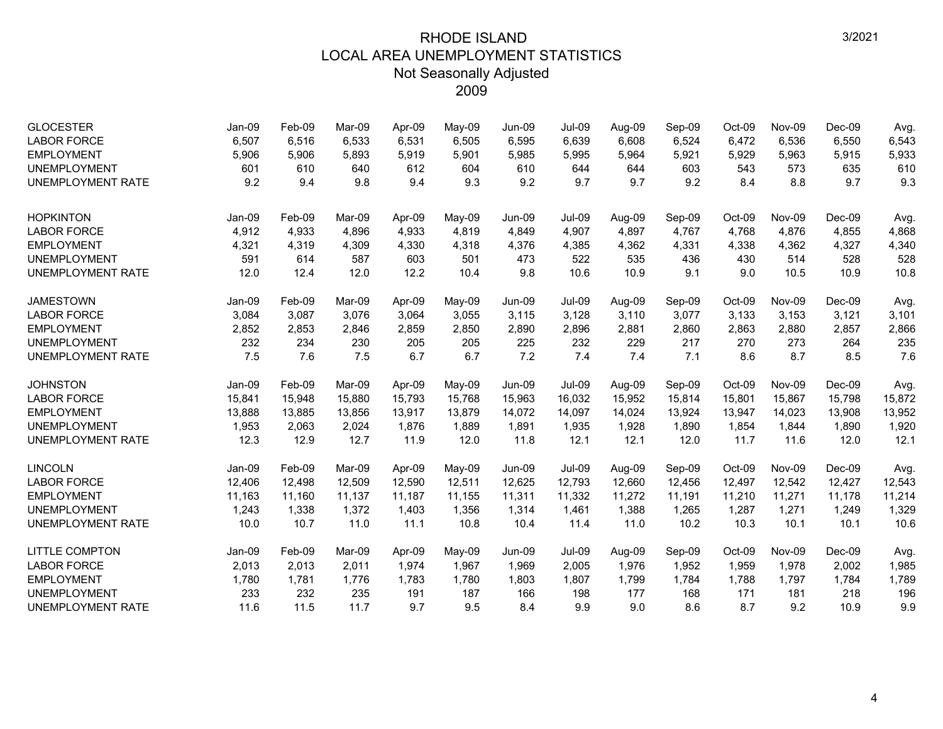| <b>GLOCESTER</b>         | Jan-09 | Feb-09 | Mar-09 | Apr-09 | May-09 | Jun-09        | <b>Jul-09</b> | Aug-09 | Sep-09 | $Oct-09$ | Nov-09 | $Dec-09$ | Avg.   |
|--------------------------|--------|--------|--------|--------|--------|---------------|---------------|--------|--------|----------|--------|----------|--------|
| <b>LABOR FORCE</b>       | 6,507  | 6,516  | 6,533  | 6,531  | 6,505  | 6,595         | 6,639         | 6,608  | 6,524  | 6,472    | 6,536  | 6,550    | 6,543  |
| <b>EMPLOYMENT</b>        | 5,906  | 5,906  | 5,893  | 5,919  | 5,901  | 5,985         | 5,995         | 5,964  | 5,921  | 5,929    | 5,963  | 5,915    | 5,933  |
| <b>UNEMPLOYMENT</b>      | 601    | 610    | 640    | 612    | 604    | 610           | 644           | 644    | 603    | 543      | 573    | 635      | 610    |
| <b>UNEMPLOYMENT RATE</b> | 9.2    | 9.4    | 9.8    | 9.4    | 9.3    | 9.2           | 9.7           | 9.7    | 9.2    | 8.4      | 8.8    | 9.7      | 9.3    |
| <b>HOPKINTON</b>         | Jan-09 | Feb-09 | Mar-09 | Apr-09 | May-09 | <b>Jun-09</b> | <b>Jul-09</b> | Aug-09 | Sep-09 | Oct-09   | Nov-09 | $Dec-09$ | Avg.   |
| <b>LABOR FORCE</b>       | 4,912  | 4,933  | 4,896  | 4,933  | 4,819  | 4,849         | 4,907         | 4,897  | 4,767  | 4,768    | 4,876  | 4,855    | 4,868  |
| <b>EMPLOYMENT</b>        | 4,321  | 4,319  | 4,309  | 4,330  | 4,318  | 4,376         | 4,385         | 4,362  | 4,331  | 4,338    | 4,362  | 4,327    | 4,340  |
| <b>UNEMPLOYMENT</b>      | 591    | 614    | 587    | 603    | 501    | 473           | 522           | 535    | 436    | 430      | 514    | 528      | 528    |
| <b>UNEMPLOYMENT RATE</b> | 12.0   | 12.4   | 12.0   | 12.2   | 10.4   | 9.8           | 10.6          | 10.9   | 9.1    | 9.0      | 10.5   | 10.9     | 10.8   |
| <b>JAMESTOWN</b>         | Jan-09 | Feb-09 | Mar-09 | Apr-09 | May-09 | <b>Jun-09</b> | <b>Jul-09</b> | Aug-09 | Sep-09 | Oct-09   | Nov-09 | $Dec-09$ | Avg.   |
| <b>LABOR FORCE</b>       | 3,084  | 3,087  | 3,076  | 3,064  | 3,055  | 3,115         | 3,128         | 3,110  | 3,077  | 3,133    | 3,153  | 3,121    | 3,101  |
| <b>EMPLOYMENT</b>        | 2,852  | 2,853  | 2,846  | 2,859  | 2,850  | 2,890         | 2,896         | 2,881  | 2,860  | 2,863    | 2,880  | 2,857    | 2,866  |
| <b>UNEMPLOYMENT</b>      | 232    | 234    | 230    | 205    | 205    | 225           | 232           | 229    | 217    | 270      | 273    | 264      | 235    |
| <b>UNEMPLOYMENT RATE</b> | 7.5    | 7.6    | 7.5    | 6.7    | 6.7    | 7.2           | 7.4           | 7.4    | 7.1    | 8.6      | 8.7    | 8.5      | 7.6    |
| <b>JOHNSTON</b>          | Jan-09 | Feb-09 | Mar-09 | Apr-09 | May-09 | <b>Jun-09</b> | <b>Jul-09</b> | Aug-09 | Sep-09 | Oct-09   | Nov-09 | $Dec-09$ | Avg.   |
| <b>LABOR FORCE</b>       | 15,841 | 15,948 | 15,880 | 15,793 | 15,768 | 15,963        | 16,032        | 15,952 | 15,814 | 15,801   | 15,867 | 15,798   | 15,872 |
| <b>EMPLOYMENT</b>        | 13,888 | 13,885 | 13,856 | 13,917 | 13,879 | 14,072        | 14,097        | 14,024 | 13,924 | 13,947   | 14,023 | 13,908   | 13,952 |
| <b>UNEMPLOYMENT</b>      | 1,953  | 2,063  | 2,024  | 1,876  | 1,889  | 1,891         | 1,935         | 1,928  | 1,890  | 1,854    | 1,844  | 1,890    | 1,920  |
| <b>UNEMPLOYMENT RATE</b> | 12.3   | 12.9   | 12.7   | 11.9   | 12.0   | 11.8          | 12.1          | 12.1   | 12.0   | 11.7     | 11.6   | 12.0     | 12.1   |
| <b>LINCOLN</b>           | Jan-09 | Feb-09 | Mar-09 | Apr-09 | May-09 | <b>Jun-09</b> | <b>Jul-09</b> | Aug-09 | Sep-09 | Oct-09   | Nov-09 | $Dec-09$ | Avg.   |
| <b>LABOR FORCE</b>       | 12,406 | 12,498 | 12,509 | 12,590 | 12,511 | 12,625        | 12,793        | 12,660 | 12,456 | 12,497   | 12,542 | 12,427   | 12,543 |
| <b>EMPLOYMENT</b>        | 11,163 | 11,160 | 11,137 | 11,187 | 11,155 | 11,311        | 11,332        | 11,272 | 11,191 | 11,210   | 11,271 | 11,178   | 11,214 |
| <b>UNEMPLOYMENT</b>      | 1,243  | 1,338  | 1,372  | 1,403  | 1,356  | 1,314         | 1,461         | 1,388  | 1,265  | 1,287    | 1,271  | 1,249    | 1,329  |
| <b>UNEMPLOYMENT RATE</b> | 10.0   | 10.7   | 11.0   | 11.1   | 10.8   | 10.4          | 11.4          | 11.0   | 10.2   | 10.3     | 10.1   | 10.1     | 10.6   |
| LITTLE COMPTON           | Jan-09 | Feb-09 | Mar-09 | Apr-09 | May-09 | Jun-09        | <b>Jul-09</b> | Aug-09 | Sep-09 | Oct-09   | Nov-09 | Dec-09   | Avg.   |
| <b>LABOR FORCE</b>       | 2,013  | 2,013  | 2,011  | 1,974  | 1,967  | 1,969         | 2,005         | 1,976  | 1,952  | 1,959    | 1,978  | 2,002    | 1,985  |
| <b>EMPLOYMENT</b>        | 1,780  | 1,781  | 1,776  | 1,783  | 1,780  | 1,803         | 1,807         | 1,799  | 1,784  | 1,788    | 1,797  | 1,784    | 1,789  |
| <b>UNEMPLOYMENT</b>      | 233    | 232    | 235    | 191    | 187    | 166           | 198           | 177    | 168    | 171      | 181    | 218      | 196    |
| <b>UNEMPLOYMENT RATE</b> | 11.6   | 11.5   | 11.7   | 9.7    | 9.5    | 8.4           | 9.9           | 9.0    | 8.6    | 8.7      | 9.2    | 10.9     | 9.9    |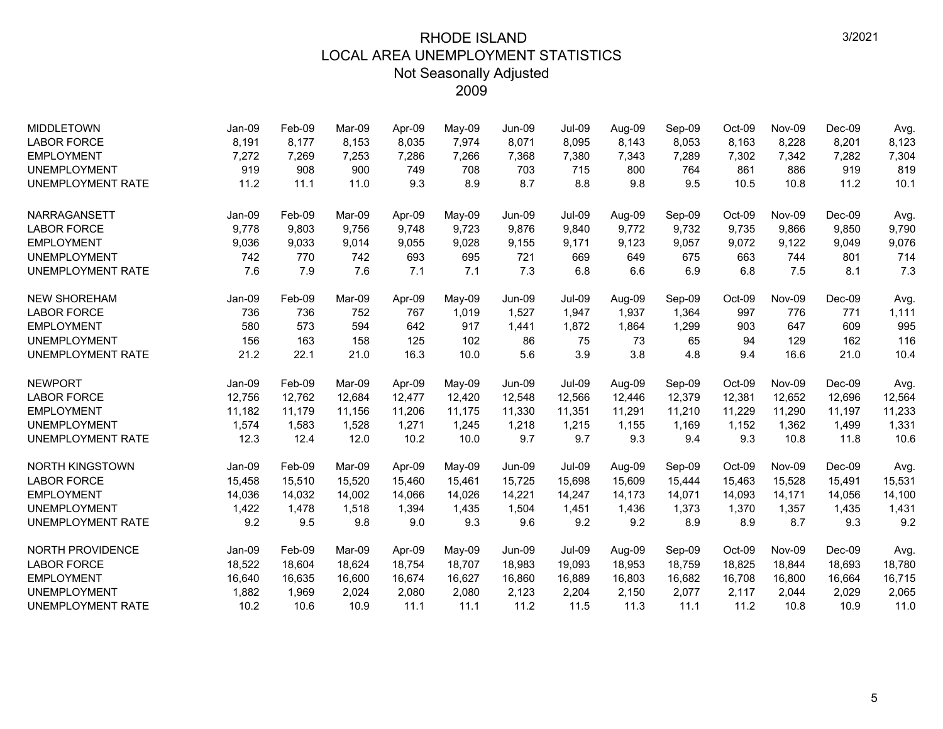| <b>MIDDLETOWN</b>        | Jan-09 | Feb-09 | Mar-09 | Apr-09 | May-09 | Jun-09        | <b>Jul-09</b> | Aug-09 | Sep-09 | Oct-09 | Nov-09 | $Dec-09$ | Avg.   |
|--------------------------|--------|--------|--------|--------|--------|---------------|---------------|--------|--------|--------|--------|----------|--------|
| <b>LABOR FORCE</b>       | 8,191  | 8,177  | 8,153  | 8,035  | 7,974  | 8,071         | 8,095         | 8,143  | 8,053  | 8,163  | 8,228  | 8,201    | 8,123  |
| <b>EMPLOYMENT</b>        | 7,272  | 7.269  | 7,253  | 7,286  | 7,266  | 7,368         | 7,380         | 7,343  | 7,289  | 7,302  | 7,342  | 7,282    | 7,304  |
| <b>UNEMPLOYMENT</b>      | 919    | 908    | 900    | 749    | 708    | 703           | 715           | 800    | 764    | 861    | 886    | 919      | 819    |
| <b>UNEMPLOYMENT RATE</b> | 11.2   | 11.1   | 11.0   | 9.3    | 8.9    | 8.7           | 8.8           | 9.8    | 9.5    | 10.5   | 10.8   | 11.2     | 10.1   |
| <b>NARRAGANSETT</b>      | Jan-09 | Feb-09 | Mar-09 | Apr-09 | May-09 | Jun-09        | <b>Jul-09</b> | Aug-09 | Sep-09 | Oct-09 | Nov-09 | $Dec-09$ | Avg.   |
| <b>LABOR FORCE</b>       | 9,778  | 9,803  | 9,756  | 9,748  | 9,723  | 9,876         | 9,840         | 9,772  | 9,732  | 9,735  | 9,866  | 9,850    | 9,790  |
| <b>EMPLOYMENT</b>        | 9,036  | 9,033  | 9,014  | 9,055  | 9,028  | 9,155         | 9,171         | 9,123  | 9,057  | 9,072  | 9,122  | 9,049    | 9,076  |
| <b>UNEMPLOYMENT</b>      | 742    | 770    | 742    | 693    | 695    | 721           | 669           | 649    | 675    | 663    | 744    | 801      | 714    |
| <b>UNEMPLOYMENT RATE</b> | 7.6    | 7.9    | 7.6    | 7.1    | 7.1    | 7.3           | 6.8           | 6.6    | 6.9    | 6.8    | 7.5    | 8.1      | 7.3    |
| <b>NEW SHOREHAM</b>      | Jan-09 | Feb-09 | Mar-09 | Apr-09 | May-09 | Jun-09        | <b>Jul-09</b> | Aug-09 | Sep-09 | Oct-09 | Nov-09 | $Dec-09$ | Avg.   |
| <b>LABOR FORCE</b>       | 736    | 736    | 752    | 767    | 1,019  | 1,527         | 1,947         | 1,937  | 1,364  | 997    | 776    | 771      | 1,111  |
| <b>EMPLOYMENT</b>        | 580    | 573    | 594    | 642    | 917    | 1,441         | 1,872         | 1,864  | 1,299  | 903    | 647    | 609      | 995    |
| <b>UNEMPLOYMENT</b>      | 156    | 163    | 158    | 125    | 102    | 86            | 75            | 73     | 65     | 94     | 129    | 162      | 116    |
| <b>UNEMPLOYMENT RATE</b> | 21.2   | 22.1   | 21.0   | 16.3   | 10.0   | 5.6           | 3.9           | 3.8    | 4.8    | 9.4    | 16.6   | 21.0     | 10.4   |
| <b>NEWPORT</b>           | Jan-09 | Feb-09 | Mar-09 | Apr-09 | May-09 | Jun-09        | <b>Jul-09</b> | Aug-09 | Sep-09 | Oct-09 | Nov-09 | $Dec-09$ | Avg.   |
| <b>LABOR FORCE</b>       | 12,756 | 12,762 | 12,684 | 12,477 | 12,420 | 12,548        | 12,566        | 12,446 | 12,379 | 12,381 | 12,652 | 12,696   | 12,564 |
| <b>EMPLOYMENT</b>        | 11,182 | 11,179 | 11,156 | 11,206 | 11,175 | 11,330        | 11,351        | 11,291 | 11,210 | 11,229 | 11,290 | 11,197   | 11,233 |
| <b>UNEMPLOYMENT</b>      | 1,574  | 1,583  | 1,528  | 1,271  | 1,245  | 1,218         | 1,215         | 1,155  | 1,169  | 1,152  | 1,362  | 1,499    | 1,331  |
| <b>UNEMPLOYMENT RATE</b> | 12.3   | 12.4   | 12.0   | 10.2   | 10.0   | 9.7           | 9.7           | 9.3    | 9.4    | 9.3    | 10.8   | 11.8     | 10.6   |
| <b>NORTH KINGSTOWN</b>   | Jan-09 | Feb-09 | Mar-09 | Apr-09 | May-09 | <b>Jun-09</b> | <b>Jul-09</b> | Aug-09 | Sep-09 | Oct-09 | Nov-09 | Dec-09   | Avg.   |
| <b>LABOR FORCE</b>       | 15,458 | 15,510 | 15.520 | 15,460 | 15,461 | 15,725        | 15,698        | 15,609 | 15,444 | 15,463 | 15,528 | 15,491   | 15,531 |
| <b>EMPLOYMENT</b>        | 14,036 | 14,032 | 14,002 | 14,066 | 14,026 | 14,221        | 14,247        | 14,173 | 14,071 | 14,093 | 14,171 | 14,056   | 14,100 |
| <b>UNEMPLOYMENT</b>      | 1,422  | 1,478  | 1.518  | 1,394  | 1,435  | 1,504         | 1,451         | 1,436  | 1,373  | 1,370  | 1,357  | 1,435    | 1,431  |
| <b>UNEMPLOYMENT RATE</b> | 9.2    | 9.5    | 9.8    | 9.0    | 9.3    | 9.6           | 9.2           | 9.2    | 8.9    | 8.9    | 8.7    | 9.3      | 9.2    |
| <b>NORTH PROVIDENCE</b>  | Jan-09 | Feb-09 | Mar-09 | Apr-09 | May-09 | <b>Jun-09</b> | <b>Jul-09</b> | Aug-09 | Sep-09 | Oct-09 | Nov-09 | $Dec-09$ | Avg.   |
| <b>LABOR FORCE</b>       | 18,522 | 18,604 | 18,624 | 18,754 | 18,707 | 18,983        | 19,093        | 18,953 | 18,759 | 18,825 | 18,844 | 18,693   | 18,780 |
| <b>EMPLOYMENT</b>        | 16,640 | 16,635 | 16,600 | 16,674 | 16,627 | 16,860        | 16,889        | 16,803 | 16,682 | 16,708 | 16,800 | 16,664   | 16,715 |
| <b>UNEMPLOYMENT</b>      | 1,882  | 1,969  | 2,024  | 2,080  | 2,080  | 2,123         | 2,204         | 2,150  | 2,077  | 2,117  | 2,044  | 2,029    | 2,065  |
| <b>UNEMPLOYMENT RATE</b> | 10.2   | 10.6   | 10.9   | 11.1   | 11.1   | 11.2          | 11.5          | 11.3   | 11.1   | 11.2   | 10.8   | 10.9     | 11.0   |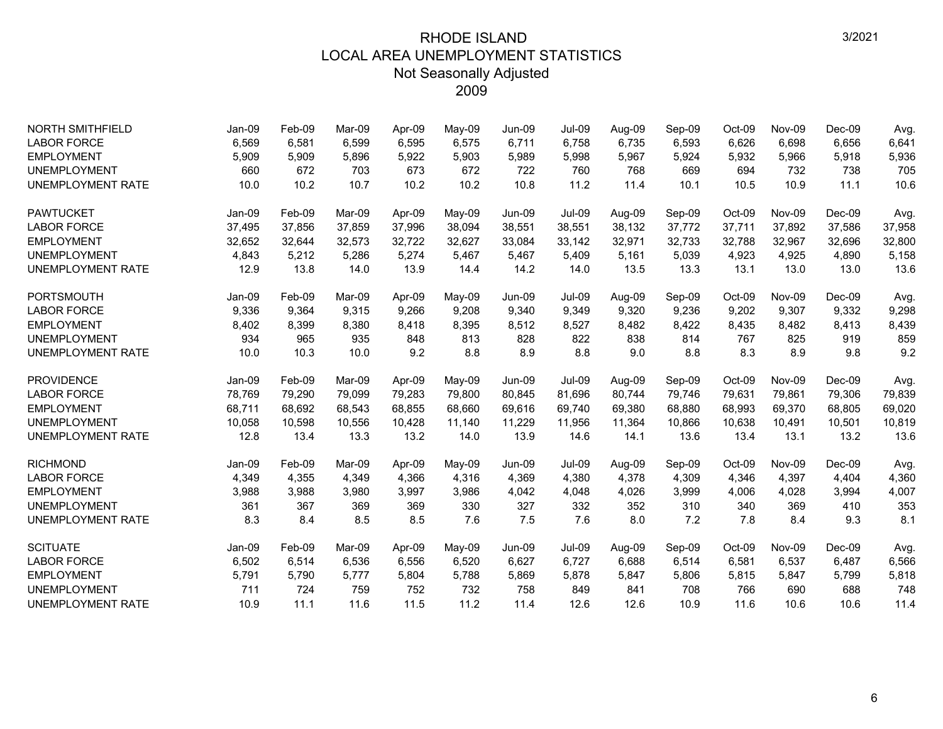| <b>NORTH SMITHFIELD</b>  | Jan-09 | Feb-09 | Mar-09 | Apr-09 | May-09 | Jun-09        | <b>Jul-09</b> | Aug-09 | Sep-09 | Oct-09 | <b>Nov-09</b> | $Dec-09$ | Avg.   |
|--------------------------|--------|--------|--------|--------|--------|---------------|---------------|--------|--------|--------|---------------|----------|--------|
| <b>LABOR FORCE</b>       | 6,569  | 6,581  | 6,599  | 6,595  | 6,575  | 6,711         | 6,758         | 6,735  | 6,593  | 6,626  | 6,698         | 6,656    | 6,641  |
| <b>EMPLOYMENT</b>        | 5,909  | 5,909  | 5,896  | 5,922  | 5,903  | 5,989         | 5,998         | 5,967  | 5,924  | 5,932  | 5,966         | 5,918    | 5,936  |
| <b>UNEMPLOYMENT</b>      | 660    | 672    | 703    | 673    | 672    | 722           | 760           | 768    | 669    | 694    | 732           | 738      | 705    |
| <b>UNEMPLOYMENT RATE</b> | 10.0   | 10.2   | 10.7   | 10.2   | 10.2   | 10.8          | 11.2          | 11.4   | 10.1   | 10.5   | 10.9          | 11.1     | 10.6   |
| <b>PAWTUCKET</b>         | Jan-09 | Feb-09 | Mar-09 | Apr-09 | May-09 | <b>Jun-09</b> | <b>Jul-09</b> | Aug-09 | Sep-09 | Oct-09 | Nov-09        | Dec-09   | Avg.   |
| <b>LABOR FORCE</b>       | 37,495 | 37,856 | 37,859 | 37,996 | 38,094 | 38,551        | 38,551        | 38,132 | 37,772 | 37,711 | 37,892        | 37,586   | 37,958 |
| <b>EMPLOYMENT</b>        | 32,652 | 32,644 | 32,573 | 32,722 | 32,627 | 33,084        | 33,142        | 32,971 | 32,733 | 32,788 | 32,967        | 32,696   | 32,800 |
| <b>UNEMPLOYMENT</b>      | 4,843  | 5,212  | 5,286  | 5,274  | 5,467  | 5,467         | 5,409         | 5,161  | 5,039  | 4,923  | 4,925         | 4,890    | 5,158  |
| <b>UNEMPLOYMENT RATE</b> | 12.9   | 13.8   | 14.0   | 13.9   | 14.4   | 14.2          | 14.0          | 13.5   | 13.3   | 13.1   | 13.0          | 13.0     | 13.6   |
| <b>PORTSMOUTH</b>        | Jan-09 | Feb-09 | Mar-09 | Apr-09 | May-09 | Jun-09        | <b>Jul-09</b> | Aug-09 | Sep-09 | Oct-09 | Nov-09        | $Dec-09$ | Avg.   |
| <b>LABOR FORCE</b>       | 9,336  | 9,364  | 9,315  | 9,266  | 9,208  | 9,340         | 9,349         | 9,320  | 9,236  | 9,202  | 9,307         | 9,332    | 9,298  |
| <b>EMPLOYMENT</b>        | 8,402  | 8,399  | 8,380  | 8,418  | 8,395  | 8,512         | 8,527         | 8,482  | 8,422  | 8,435  | 8,482         | 8,413    | 8,439  |
| <b>UNEMPLOYMENT</b>      | 934    | 965    | 935    | 848    | 813    | 828           | 822           | 838    | 814    | 767    | 825           | 919      | 859    |
| <b>UNEMPLOYMENT RATE</b> | 10.0   | 10.3   | 10.0   | 9.2    | 8.8    | 8.9           | 8.8           | 9.0    | 8.8    | 8.3    | 8.9           | 9.8      | 9.2    |
| <b>PROVIDENCE</b>        | Jan-09 | Feb-09 | Mar-09 | Apr-09 | May-09 | Jun-09        | <b>Jul-09</b> | Aug-09 | Sep-09 | Oct-09 | Nov-09        | $Dec-09$ | Avg.   |
| <b>LABOR FORCE</b>       | 78,769 | 79,290 | 79,099 | 79,283 | 79,800 | 80,845        | 81.696        | 80,744 | 79,746 | 79,631 | 79.861        | 79,306   | 79,839 |
| <b>EMPLOYMENT</b>        | 68,711 | 68,692 | 68,543 | 68,855 | 68,660 | 69,616        | 69,740        | 69,380 | 68,880 | 68,993 | 69,370        | 68,805   | 69,020 |
| <b>UNEMPLOYMENT</b>      | 10,058 | 10,598 | 10,556 | 10,428 | 11,140 | 11,229        | 11,956        | 11,364 | 10,866 | 10,638 | 10,491        | 10,501   | 10,819 |
| <b>UNEMPLOYMENT RATE</b> | 12.8   | 13.4   | 13.3   | 13.2   | 14.0   | 13.9          | 14.6          | 14.1   | 13.6   | 13.4   | 13.1          | 13.2     | 13.6   |
| <b>RICHMOND</b>          | Jan-09 | Feb-09 | Mar-09 | Apr-09 | May-09 | <b>Jun-09</b> | <b>Jul-09</b> | Aug-09 | Sep-09 | Oct-09 | Nov-09        | Dec-09   | Avg.   |
| <b>LABOR FORCE</b>       | 4,349  | 4,355  | 4,349  | 4,366  | 4,316  | 4,369         | 4,380         | 4,378  | 4,309  | 4,346  | 4,397         | 4,404    | 4,360  |
| <b>EMPLOYMENT</b>        | 3,988  | 3,988  | 3,980  | 3,997  | 3,986  | 4,042         | 4,048         | 4,026  | 3,999  | 4,006  | 4,028         | 3,994    | 4,007  |
| <b>UNEMPLOYMENT</b>      | 361    | 367    | 369    | 369    | 330    | 327           | 332           | 352    | 310    | 340    | 369           | 410      | 353    |
| <b>UNEMPLOYMENT RATE</b> | 8.3    | 8.4    | 8.5    | 8.5    | 7.6    | 7.5           | 7.6           | 8.0    | 7.2    | 7.8    | 8.4           | 9.3      | 8.1    |
| <b>SCITUATE</b>          | Jan-09 | Feb-09 | Mar-09 | Apr-09 | May-09 | <b>Jun-09</b> | <b>Jul-09</b> | Aug-09 | Sep-09 | Oct-09 | Nov-09        | $Dec-09$ | Avg.   |
| <b>LABOR FORCE</b>       | 6,502  | 6,514  | 6,536  | 6,556  | 6,520  | 6,627         | 6,727         | 6,688  | 6,514  | 6,581  | 6,537         | 6,487    | 6,566  |
| <b>EMPLOYMENT</b>        | 5,791  | 5,790  | 5,777  | 5,804  | 5,788  | 5,869         | 5,878         | 5,847  | 5,806  | 5,815  | 5,847         | 5,799    | 5,818  |
| <b>UNEMPLOYMENT</b>      | 711    | 724    | 759    | 752    | 732    | 758           | 849           | 841    | 708    | 766    | 690           | 688      | 748    |
| <b>UNEMPLOYMENT RATE</b> | 10.9   | 11.1   | 11.6   | 11.5   | 11.2   | 11.4          | 12.6          | 12.6   | 10.9   | 11.6   | 10.6          | 10.6     | 11.4   |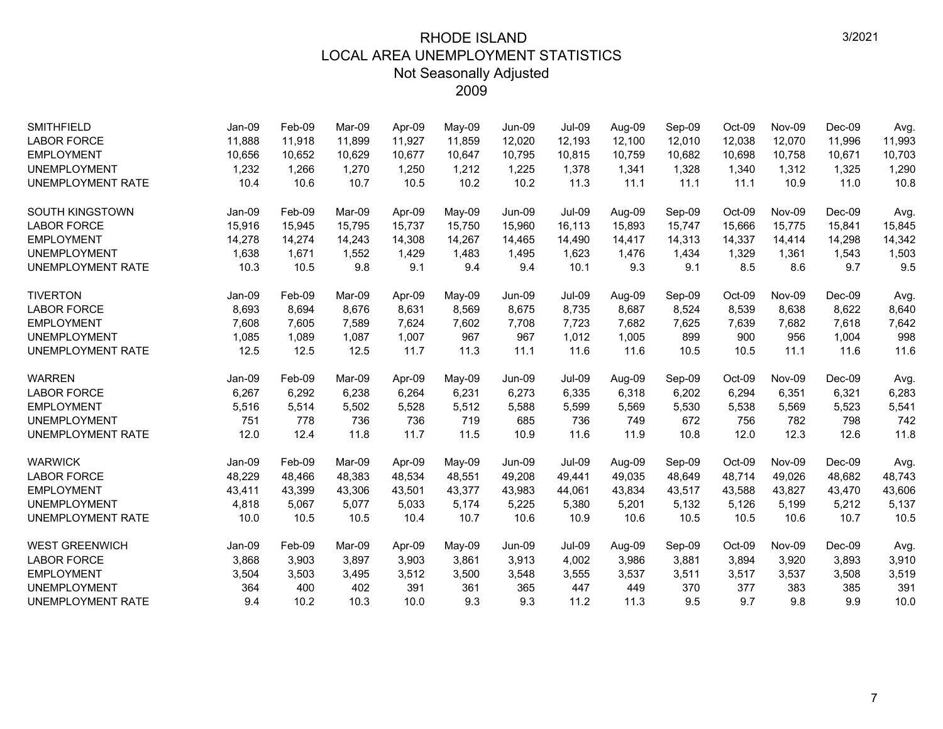| <b>SMITHFIELD</b>        | Jan-09 | Feb-09 | Mar-09 | Apr-09 | May-09 | <b>Jun-09</b> | <b>Jul-09</b> | Aug-09 | Sep-09 | Oct-09 | Nov-09 | $Dec-09$ | Avg.   |
|--------------------------|--------|--------|--------|--------|--------|---------------|---------------|--------|--------|--------|--------|----------|--------|
| <b>LABOR FORCE</b>       | 11,888 | 11,918 | 11,899 | 11,927 | 11,859 | 12,020        | 12,193        | 12,100 | 12,010 | 12,038 | 12,070 | 11,996   | 11,993 |
| <b>EMPLOYMENT</b>        | 10,656 | 10,652 | 10.629 | 10,677 | 10,647 | 10,795        | 10.815        | 10,759 | 10,682 | 10,698 | 10,758 | 10,671   | 10,703 |
| <b>UNEMPLOYMENT</b>      | 1,232  | 1,266  | 1,270  | 1,250  | 1,212  | 1,225         | 1,378         | 1,341  | 1,328  | 1,340  | 1,312  | 1,325    | 1,290  |
| <b>UNEMPLOYMENT RATE</b> | 10.4   | 10.6   | 10.7   | 10.5   | 10.2   | 10.2          | 11.3          | 11.1   | 11.1   | 11.1   | 10.9   | 11.0     | 10.8   |
| <b>SOUTH KINGSTOWN</b>   | Jan-09 | Feb-09 | Mar-09 | Apr-09 | May-09 | <b>Jun-09</b> | <b>Jul-09</b> | Aug-09 | Sep-09 | Oct-09 | Nov-09 | $Dec-09$ | Avg.   |
| <b>LABOR FORCE</b>       | 15,916 | 15,945 | 15,795 | 15,737 | 15,750 | 15,960        | 16,113        | 15,893 | 15,747 | 15,666 | 15,775 | 15,841   | 15,845 |
| <b>EMPLOYMENT</b>        | 14,278 | 14,274 | 14,243 | 14,308 | 14,267 | 14,465        | 14,490        | 14,417 | 14,313 | 14,337 | 14,414 | 14,298   | 14,342 |
| <b>UNEMPLOYMENT</b>      | 1,638  | 1,671  | 1,552  | 1,429  | 1,483  | 1,495         | 1,623         | 1,476  | 1,434  | 1,329  | 1,361  | 1,543    | 1,503  |
| <b>UNEMPLOYMENT RATE</b> | 10.3   | 10.5   | 9.8    | 9.1    | 9.4    | 9.4           | 10.1          | 9.3    | 9.1    | 8.5    | 8.6    | 9.7      | 9.5    |
| <b>TIVERTON</b>          | Jan-09 | Feb-09 | Mar-09 | Apr-09 | May-09 | <b>Jun-09</b> | <b>Jul-09</b> | Aug-09 | Sep-09 | Oct-09 | Nov-09 | $Dec-09$ | Avg.   |
| <b>LABOR FORCE</b>       | 8,693  | 8,694  | 8,676  | 8,631  | 8,569  | 8,675         | 8,735         | 8,687  | 8,524  | 8,539  | 8,638  | 8,622    | 8,640  |
| <b>EMPLOYMENT</b>        | 7,608  | 7,605  | 7,589  | 7,624  | 7,602  | 7,708         | 7,723         | 7,682  | 7,625  | 7,639  | 7,682  | 7,618    | 7,642  |
| <b>UNEMPLOYMENT</b>      | 1,085  | 1,089  | 1,087  | 1,007  | 967    | 967           | 1,012         | 1,005  | 899    | 900    | 956    | 1,004    | 998    |
| <b>UNEMPLOYMENT RATE</b> | 12.5   | 12.5   | 12.5   | 11.7   | 11.3   | 11.1          | 11.6          | 11.6   | 10.5   | 10.5   | 11.1   | 11.6     | 11.6   |
| <b>WARREN</b>            | Jan-09 | Feb-09 | Mar-09 | Apr-09 | May-09 | Jun-09        | <b>Jul-09</b> | Aug-09 | Sep-09 | Oct-09 | Nov-09 | $Dec-09$ | Avg.   |
| <b>LABOR FORCE</b>       | 6,267  | 6,292  | 6,238  | 6,264  | 6,231  | 6,273         | 6,335         | 6,318  | 6,202  | 6,294  | 6,351  | 6,321    | 6,283  |
| <b>EMPLOYMENT</b>        | 5,516  | 5,514  | 5,502  | 5,528  | 5,512  | 5,588         | 5,599         | 5,569  | 5,530  | 5,538  | 5,569  | 5,523    | 5,541  |
| <b>UNEMPLOYMENT</b>      | 751    | 778    | 736    | 736    | 719    | 685           | 736           | 749    | 672    | 756    | 782    | 798      | 742    |
| <b>UNEMPLOYMENT RATE</b> | 12.0   | 12.4   | 11.8   | 11.7   | 11.5   | 10.9          | 11.6          | 11.9   | 10.8   | 12.0   | 12.3   | 12.6     | 11.8   |
| <b>WARWICK</b>           | Jan-09 | Feb-09 | Mar-09 | Apr-09 | May-09 | <b>Jun-09</b> | <b>Jul-09</b> | Aug-09 | Sep-09 | Oct-09 | Nov-09 | $Dec-09$ | Avg.   |
| <b>LABOR FORCE</b>       | 48,229 | 48,466 | 48,383 | 48,534 | 48,551 | 49,208        | 49,441        | 49,035 | 48,649 | 48,714 | 49,026 | 48,682   | 48,743 |
| <b>EMPLOYMENT</b>        | 43,411 | 43,399 | 43.306 | 43,501 | 43,377 | 43,983        | 44,061        | 43.834 | 43,517 | 43,588 | 43,827 | 43,470   | 43,606 |
| <b>UNEMPLOYMENT</b>      | 4,818  | 5,067  | 5,077  | 5,033  | 5,174  | 5,225         | 5,380         | 5,201  | 5,132  | 5,126  | 5,199  | 5,212    | 5,137  |
| <b>UNEMPLOYMENT RATE</b> | 10.0   | 10.5   | 10.5   | 10.4   | 10.7   | 10.6          | 10.9          | 10.6   | 10.5   | 10.5   | 10.6   | 10.7     | 10.5   |
| <b>WEST GREENWICH</b>    | Jan-09 | Feb-09 | Mar-09 | Apr-09 | May-09 | Jun-09        | <b>Jul-09</b> | Aug-09 | Sep-09 | Oct-09 | Nov-09 | $Dec-09$ | Avg.   |
| <b>LABOR FORCE</b>       | 3,868  | 3,903  | 3,897  | 3,903  | 3,861  | 3,913         | 4,002         | 3,986  | 3,881  | 3,894  | 3,920  | 3,893    | 3,910  |
| <b>EMPLOYMENT</b>        | 3,504  | 3,503  | 3,495  | 3,512  | 3,500  | 3,548         | 3,555         | 3,537  | 3,511  | 3,517  | 3,537  | 3,508    | 3,519  |
| <b>UNEMPLOYMENT</b>      | 364    | 400    | 402    | 391    | 361    | 365           | 447           | 449    | 370    | 377    | 383    | 385      | 391    |
| <b>UNEMPLOYMENT RATE</b> | 9.4    | 10.2   | 10.3   | 10.0   | 9.3    | 9.3           | 11.2          | 11.3   | 9.5    | 9.7    | 9.8    | 9.9      | 10.0   |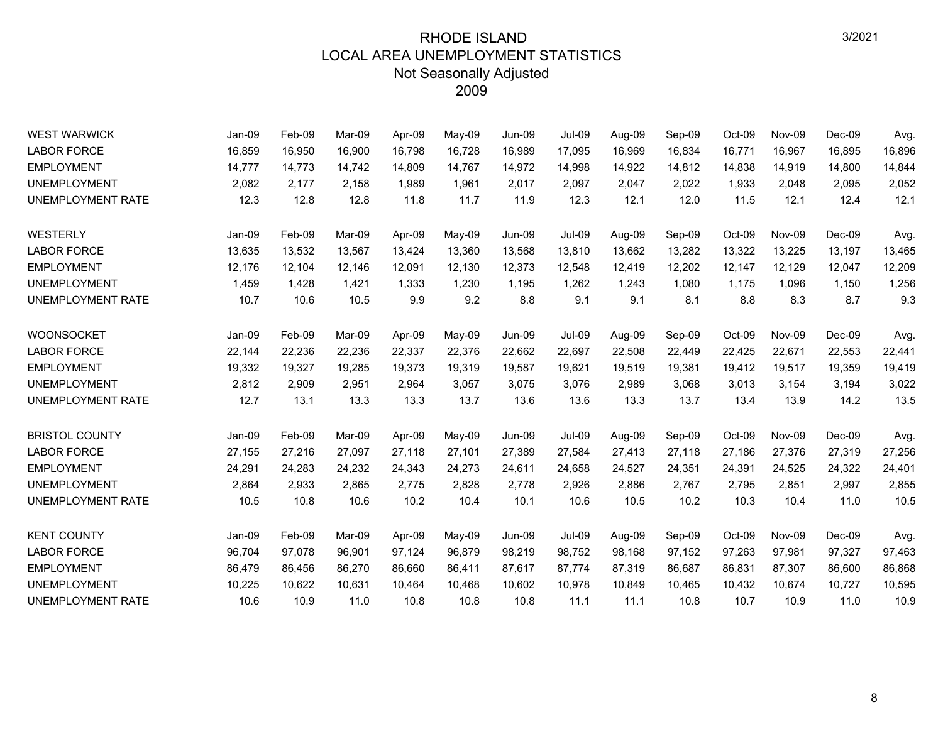| <b>WEST WARWICK</b>      | Jan-09   | Feb-09 | Mar-09 | Apr-09 | May-09 | <b>Jun-09</b> | <b>Jul-09</b> | Aug-09 | Sep-09 | Oct-09 | Nov-09 | Dec-09   | Avg.   |
|--------------------------|----------|--------|--------|--------|--------|---------------|---------------|--------|--------|--------|--------|----------|--------|
| <b>LABOR FORCE</b>       | 16,859   | 16,950 | 16,900 | 16,798 | 16,728 | 16,989        | 17,095        | 16,969 | 16,834 | 16,771 | 16,967 | 16,895   | 16,896 |
| <b>EMPLOYMENT</b>        | 14,777   | 14,773 | 14,742 | 14,809 | 14,767 | 14,972        | 14,998        | 14,922 | 14,812 | 14,838 | 14,919 | 14,800   | 14,844 |
| <b>UNEMPLOYMENT</b>      | 2,082    | 2,177  | 2,158  | 1,989  | 1,961  | 2,017         | 2,097         | 2,047  | 2,022  | 1,933  | 2,048  | 2,095    | 2,052  |
| <b>UNEMPLOYMENT RATE</b> | 12.3     | 12.8   | 12.8   | 11.8   | 11.7   | 11.9          | 12.3          | 12.1   | 12.0   | 11.5   | 12.1   | 12.4     | 12.1   |
| <b>WESTERLY</b>          | Jan-09   | Feb-09 | Mar-09 | Apr-09 | May-09 | <b>Jun-09</b> | <b>Jul-09</b> | Aug-09 | Sep-09 | Oct-09 | Nov-09 | $Dec-09$ | Avg.   |
| <b>LABOR FORCE</b>       | 13,635   | 13,532 | 13,567 | 13,424 | 13,360 | 13,568        | 13,810        | 13,662 | 13,282 | 13,322 | 13,225 | 13,197   | 13,465 |
| <b>EMPLOYMENT</b>        | 12,176   | 12,104 | 12,146 | 12,091 | 12,130 | 12,373        | 12,548        | 12,419 | 12,202 | 12,147 | 12,129 | 12,047   | 12,209 |
| <b>UNEMPLOYMENT</b>      | 1,459    | 1,428  | 1,421  | 1,333  | 1,230  | 1,195         | 1,262         | 1,243  | 1,080  | 1,175  | 1.096  | 1,150    | 1,256  |
| UNEMPLOYMENT RATE        | 10.7     | 10.6   | 10.5   | 9.9    | 9.2    | 8.8           | 9.1           | 9.1    | 8.1    | 8.8    | 8.3    | 8.7      | 9.3    |
| <b>WOONSOCKET</b>        | Jan-09   | Feb-09 | Mar-09 | Apr-09 | May-09 | Jun-09        | <b>Jul-09</b> | Aug-09 | Sep-09 | Oct-09 | Nov-09 | $Dec-09$ | Avg.   |
| <b>LABOR FORCE</b>       | 22,144   | 22,236 | 22,236 | 22,337 | 22,376 | 22,662        | 22,697        | 22,508 | 22,449 | 22,425 | 22,671 | 22,553   | 22,441 |
| <b>EMPLOYMENT</b>        | 19,332   | 19,327 | 19,285 | 19,373 | 19,319 | 19,587        | 19,621        | 19,519 | 19,381 | 19,412 | 19,517 | 19,359   | 19,419 |
| <b>UNEMPLOYMENT</b>      | 2,812    | 2,909  | 2,951  | 2,964  | 3,057  | 3,075         | 3,076         | 2,989  | 3,068  | 3,013  | 3,154  | 3,194    | 3,022  |
| UNEMPLOYMENT RATE        | 12.7     | 13.1   | 13.3   | 13.3   | 13.7   | 13.6          | 13.6          | 13.3   | 13.7   | 13.4   | 13.9   | 14.2     | 13.5   |
| <b>BRISTOL COUNTY</b>    | Jan-09   | Feb-09 | Mar-09 | Apr-09 | May-09 | Jun-09        | <b>Jul-09</b> | Aug-09 | Sep-09 | Oct-09 | Nov-09 | Dec-09   | Avg.   |
| <b>LABOR FORCE</b>       | 27,155   | 27,216 | 27,097 | 27,118 | 27,101 | 27,389        | 27,584        | 27,413 | 27,118 | 27,186 | 27,376 | 27,319   | 27,256 |
| <b>EMPLOYMENT</b>        | 24,291   | 24,283 | 24,232 | 24,343 | 24,273 | 24,611        | 24,658        | 24,527 | 24,351 | 24,391 | 24,525 | 24,322   | 24,401 |
| <b>UNEMPLOYMENT</b>      | 2,864    | 2,933  | 2,865  | 2,775  | 2,828  | 2,778         | 2,926         | 2,886  | 2,767  | 2,795  | 2,851  | 2,997    | 2,855  |
| UNEMPLOYMENT RATE        | 10.5     | 10.8   | 10.6   | 10.2   | 10.4   | 10.1          | 10.6          | 10.5   | 10.2   | 10.3   | 10.4   | 11.0     | 10.5   |
| <b>KENT COUNTY</b>       | $Jan-09$ | Feb-09 | Mar-09 | Apr-09 | May-09 | <b>Jun-09</b> | <b>Jul-09</b> | Aug-09 | Sep-09 | Oct-09 | Nov-09 | $Dec-09$ | Avg.   |
| <b>LABOR FORCE</b>       | 96,704   | 97,078 | 96,901 | 97,124 | 96,879 | 98,219        | 98,752        | 98,168 | 97,152 | 97,263 | 97,981 | 97,327   | 97,463 |
| <b>EMPLOYMENT</b>        | 86,479   | 86,456 | 86,270 | 86,660 | 86,411 | 87,617        | 87,774        | 87,319 | 86,687 | 86,831 | 87,307 | 86,600   | 86,868 |
| <b>UNEMPLOYMENT</b>      | 10,225   | 10,622 | 10,631 | 10,464 | 10,468 | 10,602        | 10,978        | 10,849 | 10,465 | 10,432 | 10,674 | 10,727   | 10,595 |
| UNEMPLOYMENT RATE        | 10.6     | 10.9   | 11.0   | 10.8   | 10.8   | 10.8          | 11.1          | 11.1   | 10.8   | 10.7   | 10.9   | 11.0     | 10.9   |